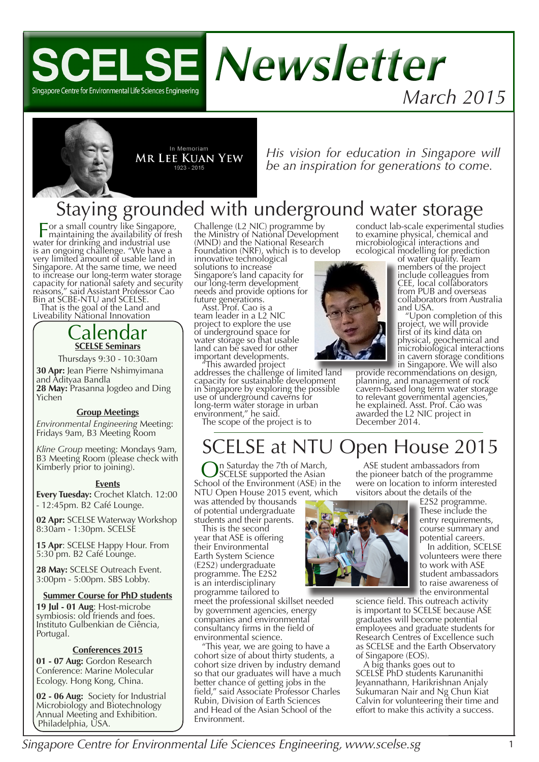



*His vision for education in Singapore will be an inspiration for generations to come.*

# Staying grounded with underground water storage

For a small country like Singapore, maintaining the availability of fresh water for drinking and industrial use water for drinking and industrial use<br>is an ongoing challenge. "We have a very limited amount of usable land in Singapore. At the same time, we need to increase our long-term water storage capacity for national safety and security reasons," said Assistant Professor Cao Bin at SCBE-NTU and SCELSE.

That is the goal of the Land and Liveability National Innovation

### Calendar **SCELSE Seminars**

Thursdays 9:30 - 10:30am

**30 Apr:** Jean Pierre Nshimyimana and Adityaa Bandla 28 May: Prasanna Jogdeo and Ding<br>Yichen

### **Group Meetings**

*Environmental Engineering* Meeting: Fridays 9am, B3 Meeting Room

*Kline Group* meeting: Mondays 9am, B3 Meeting Room (please check with Kimberly prior to joining).

### **Events**

**Every Tuesday:** Crochet Klatch. 12:00 - 12:45pm. B2 Café Lounge.

**02 Apr:** SCELSE Waterway Workshop 8:30am - 1:30pm. SCELSE

**15 Apr**: SCELSE Happy Hour. From 5:30 pm. B2 Café Lounge.

**28 May:** SCELSE Outreach Event. 3:00pm - 5:00pm. SBS Lobby.

### **Summer Course for PhD students**

**19 Jul - 01 Aug**: Host-microbe symbiosis: old friends and foes. Instituto Gulbenkian de Ciência, Portugal.

### **Conferences 2015**

**01 - 07 Aug:** Gordon Research Conference: Marine Molecular Ecology. Hong Kong, China.

**02 - 06 Aug:** Society for Industrial Microbiology and Biotechnology Annual Meeting and Exhibition. Philadelphia, USA.

Challenge (L2 NIC) programme by the Ministry of National Development (MND) and the National Research Foundation (NRF), which is to develop innovative technological

solutions to increase Singapore's land capacity for our long-term development needs and provide options for future generations.

Asst. Prof. Cao is a team leader in a L2 NIC project to explore the use of underground space for water storage so that usable land can be saved for other important developments.

"This awarded project addresses the challenge of limited land capacity for sustainable development in Singapore by exploring the possible use of underground caverns for long-term water storage in urban environment," he said.

The scope of the project is to



conduct lab-scale experimental studies to examine physical, chemical and microbiological interactions and ecological modelling for prediction of water quality. Team

members of the project include colleagues from CEE, local collaborators from PUB and overseas collaborators from Australia and USA.

"Upon completion of this project, we will provide first of its kind data on physical, geochemical and microbiological interactions in cavern storage conditions<br>in Singapore. We will also

provide recommendations on design, planning, and management of rock cavern-based long term water storage to relevant governmental agencies," he explained. Asst. Prof. Cao was awarded the L2 NIC project in December 2014.

## SCELSE at NTU Open House 2015

In Saturday the 7th of March, SCELSE supported the Asian School of the Environment (ASE) in the NTU Open House 2015 event, which was attended by thousands

of potential undergraduate students and their parents.

This is the second year that ASE is offering their Environmental Earth System Science (E2S2) undergraduate programme. The E2S2 is an interdisciplinary programme tailored to

meet the professional skillset needed by government agencies, energy companies and environmental consultancy firms in the field of environmental science.

"This year, we are going to have a cohort size of about thirty students, a cohort size driven by industry demand so that our graduates will have a much better chance of getting jobs in the field," said Associate Professor Charles Rubin, Division of Earth Sciences and Head of the Asian School of the Environment.



ASE student ambassadors from the pioneer batch of the programme were on location to inform interested visitors about the details of the

> E2S2 programme. These include the entry requirements, course summary and potential careers.

In addition, SCELSE volunteers were there to work with ASE student ambassadors to raise awareness of the environmental

science field. This outreach activity is important to SCELSE because ASE graduates will become potential employees and graduate students for Research Centres of Excellence such as SCELSE and the Earth Observatory of Singapore (EOS).

A big thanks goes out to SCELSE PhD students Karunanithi Jeyannathann, Harikrishnan Anjaly Sukumaran Nair and Ng Chun Kiat Calvin for volunteering their time and effort to make this activity a success.